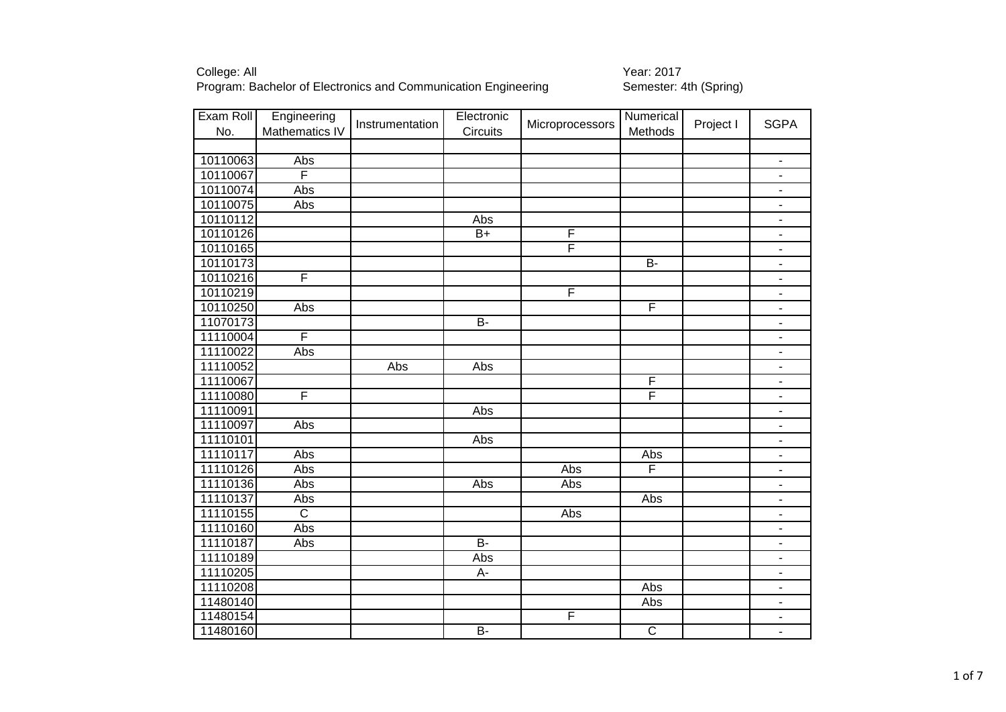| Exam Roll | Engineering             | Instrumentation | Electronic | Microprocessors | Numerical               | Project I | <b>SGPA</b>              |
|-----------|-------------------------|-----------------|------------|-----------------|-------------------------|-----------|--------------------------|
| No.       | Mathematics IV          |                 | Circuits   |                 | <b>Methods</b>          |           |                          |
|           |                         |                 |            |                 |                         |           |                          |
| 10110063  | Abs                     |                 |            |                 |                         |           | $\overline{\phantom{a}}$ |
| 10110067  | F                       |                 |            |                 |                         |           | $\overline{\phantom{a}}$ |
| 10110074  | Abs                     |                 |            |                 |                         |           | $\overline{\phantom{a}}$ |
| 10110075  | Abs                     |                 |            |                 |                         |           | $\overline{\phantom{0}}$ |
| 10110112  |                         |                 | Abs        |                 |                         |           |                          |
| 10110126  |                         |                 | $B+$       | F               |                         |           | $\overline{\phantom{a}}$ |
| 10110165  |                         |                 |            | F               |                         |           |                          |
| 10110173  |                         |                 |            |                 | $B -$                   |           | $\overline{\phantom{a}}$ |
| 10110216  | F                       |                 |            |                 |                         |           | $\overline{\phantom{a}}$ |
| 10110219  |                         |                 |            | $\overline{F}$  |                         |           | $\blacksquare$           |
| 10110250  | Abs                     |                 |            |                 | F                       |           | $\overline{\phantom{a}}$ |
| 11070173  |                         |                 | <b>B-</b>  |                 |                         |           | $\overline{\phantom{a}}$ |
| 11110004  | F                       |                 |            |                 |                         |           | $\overline{\phantom{a}}$ |
| 11110022  | Abs                     |                 |            |                 |                         |           | -                        |
| 11110052  |                         | Abs             | Abs        |                 |                         |           | -                        |
| 11110067  |                         |                 |            |                 | F                       |           | $\overline{\phantom{a}}$ |
| 11110080  | F                       |                 |            |                 | F                       |           | $\blacksquare$           |
| 11110091  |                         |                 | Abs        |                 |                         |           | $\overline{\phantom{a}}$ |
| 11110097  | Abs                     |                 |            |                 |                         |           | $\overline{\phantom{0}}$ |
| 11110101  |                         |                 | Abs        |                 |                         |           | $\overline{\phantom{a}}$ |
| 11110117  | Abs                     |                 |            |                 | Abs                     |           |                          |
| 11110126  | Abs                     |                 |            | Abs             | F                       |           |                          |
| 11110136  | Abs                     |                 | Abs        | Abs             |                         |           | $\overline{\phantom{0}}$ |
| 11110137  | Abs                     |                 |            |                 | Abs                     |           | $\overline{\phantom{a}}$ |
| 11110155  | $\overline{\mathsf{C}}$ |                 |            | Abs             |                         |           | $\overline{\phantom{a}}$ |
| 11110160  | Abs                     |                 |            |                 |                         |           | -                        |
| 11110187  | Abs                     |                 | $B -$      |                 |                         |           | $\blacksquare$           |
| 11110189  |                         |                 | Abs        |                 |                         |           | -                        |
| 11110205  |                         |                 | A-         |                 |                         |           | $\overline{\phantom{a}}$ |
| 11110208  |                         |                 |            |                 | Abs                     |           | $\overline{\phantom{a}}$ |
| 11480140  |                         |                 |            |                 | Abs                     |           | $\overline{\phantom{a}}$ |
| 11480154  |                         |                 |            | F               |                         |           |                          |
| 11480160  |                         |                 | $B -$      |                 | $\overline{\mathsf{C}}$ |           | $\overline{\phantom{0}}$ |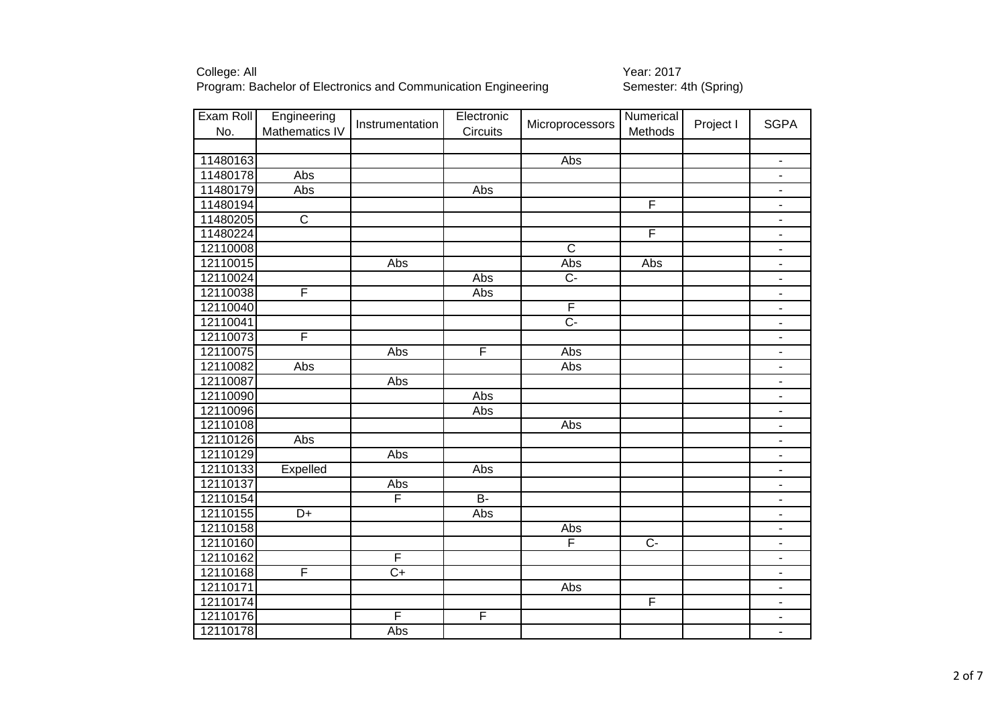| Exam Roll | Engineering           | Instrumentation | Electronic     | Microprocessors         | Numerical      | Project I | <b>SGPA</b>              |
|-----------|-----------------------|-----------------|----------------|-------------------------|----------------|-----------|--------------------------|
| No.       | Mathematics IV        |                 | Circuits       |                         | Methods        |           |                          |
|           |                       |                 |                |                         |                |           |                          |
| 11480163  |                       |                 |                | <b>Abs</b>              |                |           | $\overline{\phantom{a}}$ |
| 11480178  | Abs                   |                 |                |                         |                |           | $\overline{\phantom{a}}$ |
| 11480179  | Abs                   |                 | Abs            |                         |                |           | $\overline{\phantom{a}}$ |
| 11480194  |                       |                 |                |                         | $\overline{F}$ |           | $\blacksquare$           |
| 11480205  | $\overline{\text{c}}$ |                 |                |                         |                |           | $\overline{\phantom{a}}$ |
| 11480224  |                       |                 |                |                         | F              |           | ÷                        |
| 12110008  |                       |                 |                | $\overline{\mathsf{c}}$ |                |           |                          |
| 12110015  |                       | Abs             |                | Abs                     | Abs            |           | $\overline{\phantom{a}}$ |
| 12110024  |                       |                 | Abs            | $\overline{C}$          |                |           | $\blacksquare$           |
| 12110038  | F                     |                 | Abs            |                         |                |           | $\overline{\phantom{a}}$ |
| 12110040  |                       |                 |                | $\overline{F}$          |                |           | $\blacksquare$           |
| 12110041  |                       |                 |                | $\overline{C}$          |                |           | $\overline{\phantom{a}}$ |
| 12110073  | F                     |                 |                |                         |                |           | $\blacksquare$           |
| 12110075  |                       | Abs             | F              | Abs                     |                |           | $\blacksquare$           |
| 12110082  | Abs                   |                 |                | Abs                     |                |           | ۰                        |
| 12110087  |                       | Abs             |                |                         |                |           | $\overline{\phantom{a}}$ |
| 12110090  |                       |                 | Abs            |                         |                |           | $\overline{\phantom{a}}$ |
| 12110096  |                       |                 | Abs            |                         |                |           | $\overline{\phantom{a}}$ |
| 12110108  |                       |                 |                | Abs                     |                |           | $\blacksquare$           |
| 12110126  | Abs                   |                 |                |                         |                |           |                          |
| 12110129  |                       | Abs             |                |                         |                |           | $\blacksquare$           |
| 12110133  | Expelled              |                 | Abs            |                         |                |           | $\blacksquare$           |
| 12110137  |                       | Abs             |                |                         |                |           |                          |
| 12110154  |                       | F               | $\overline{B}$ |                         |                |           |                          |
| 12110155  | $\overline{D+}$       |                 | Abs            |                         |                |           | $\blacksquare$           |
| 12110158  |                       |                 |                | Abs                     |                |           | $\blacksquare$           |
| 12110160  |                       |                 |                | F                       | $\overline{C}$ |           | $\blacksquare$           |
| 12110162  |                       | F               |                |                         |                |           | $\overline{\phantom{a}}$ |
| 12110168  | F                     | $C+$            |                |                         |                |           | $\blacksquare$           |
| 12110171  |                       |                 |                | Abs                     |                |           | $\blacksquare$           |
| 12110174  |                       |                 |                |                         | F              |           | $\blacksquare$           |
| 12110176  |                       | F               | F              |                         |                |           | $\overline{\phantom{a}}$ |
| 12110178  |                       | Abs             |                |                         |                |           | $\overline{\phantom{a}}$ |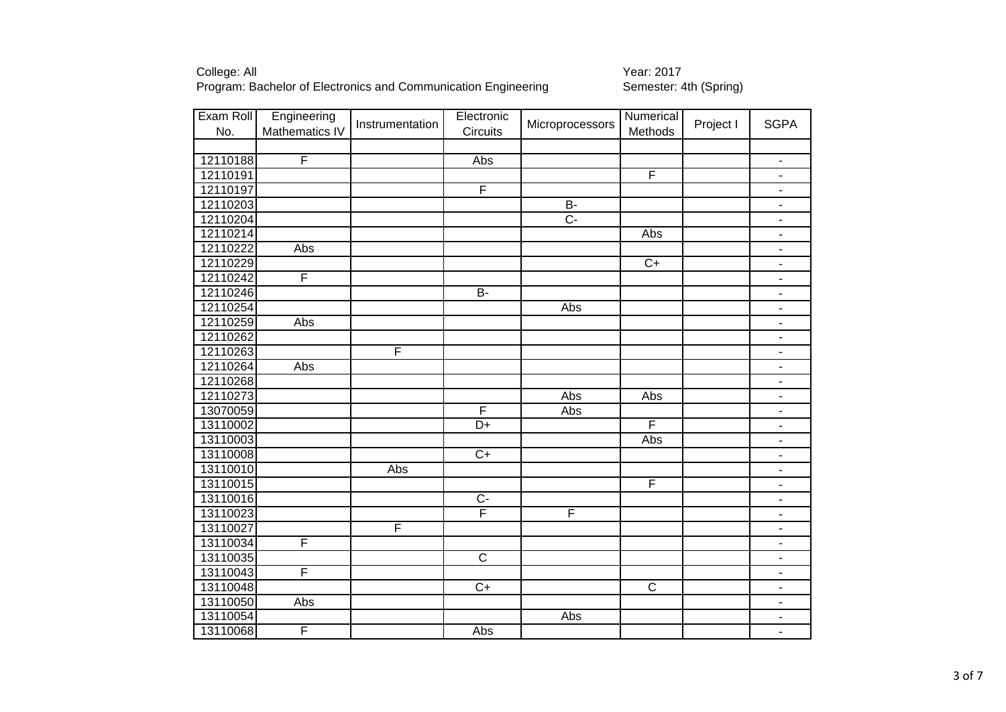| Exam Roll | Engineering             | Instrumentation | Electronic              | Microprocessors | Numerical       | Project I | <b>SGPA</b>              |
|-----------|-------------------------|-----------------|-------------------------|-----------------|-----------------|-----------|--------------------------|
| No.       | Mathematics IV          |                 | Circuits                |                 | Methods         |           |                          |
|           |                         |                 |                         |                 |                 |           |                          |
| 12110188  | F                       |                 | Abs                     |                 |                 |           | $\blacksquare$           |
| 12110191  |                         |                 |                         |                 | F               |           | $\overline{\phantom{a}}$ |
| 12110197  |                         |                 | $\overline{F}$          |                 |                 |           | $\overline{\phantom{a}}$ |
| 12110203  |                         |                 |                         | $B -$           |                 |           | $\overline{\phantom{a}}$ |
| 12110204  |                         |                 |                         | $\overline{C}$  |                 |           | $\blacksquare$           |
| 12110214  |                         |                 |                         |                 | Abs             |           | $\blacksquare$           |
| 12110222  | Abs                     |                 |                         |                 |                 |           | $\blacksquare$           |
| 12110229  |                         |                 |                         |                 | $\overline{C+}$ |           | $\overline{\phantom{a}}$ |
| 12110242  | F                       |                 |                         |                 |                 |           | $\overline{\phantom{a}}$ |
| 12110246  |                         |                 | <b>B-</b>               |                 |                 |           | $\overline{\phantom{a}}$ |
| 12110254  |                         |                 |                         | Abs             |                 |           | $\blacksquare$           |
| 12110259  | Abs                     |                 |                         |                 |                 |           | $\overline{\phantom{a}}$ |
| 12110262  |                         |                 |                         |                 |                 |           | $\blacksquare$           |
| 12110263  |                         | F               |                         |                 |                 |           | $\overline{\phantom{a}}$ |
| 12110264  | Abs                     |                 |                         |                 |                 |           | $\blacksquare$           |
| 12110268  |                         |                 |                         |                 |                 |           | $\blacksquare$           |
| 12110273  |                         |                 |                         | Abs             | Abs             |           | $\overline{\phantom{a}}$ |
| 13070059  |                         |                 | $\overline{\mathsf{F}}$ | Abs             |                 |           | ÷,                       |
| 13110002  |                         |                 | $\overline{D+}$         |                 | F               |           | $\overline{\phantom{a}}$ |
| 13110003  |                         |                 |                         |                 | Abs             |           | $\overline{\phantom{a}}$ |
| 13110008  |                         |                 | $C+$                    |                 |                 |           | $\overline{\phantom{a}}$ |
| 13110010  |                         | Abs             |                         |                 |                 |           | $\blacksquare$           |
| 13110015  |                         |                 |                         |                 | F               |           | $\overline{\phantom{a}}$ |
| 13110016  |                         |                 | $\overline{C}$          |                 |                 |           | $\blacksquare$           |
| 13110023  |                         |                 | F                       | F               |                 |           | $\overline{\phantom{a}}$ |
| 13110027  |                         | F               |                         |                 |                 |           | $\overline{\phantom{a}}$ |
| 13110034  | $\overline{\mathsf{F}}$ |                 |                         |                 |                 |           | $\overline{\phantom{a}}$ |
| 13110035  |                         |                 | $\overline{C}$          |                 |                 |           | $\overline{\phantom{a}}$ |
| 13110043  | $\overline{F}$          |                 |                         |                 |                 |           | $\overline{\phantom{a}}$ |
| 13110048  |                         |                 | $\overline{C}$          |                 | $\overline{C}$  |           | $\blacksquare$           |
| 13110050  | Abs                     |                 |                         |                 |                 |           | $\blacksquare$           |
| 13110054  |                         |                 |                         | Abs             |                 |           | $\overline{\phantom{a}}$ |
| 13110068  | F                       |                 | $\overline{Abs}$        |                 |                 |           | $\blacksquare$           |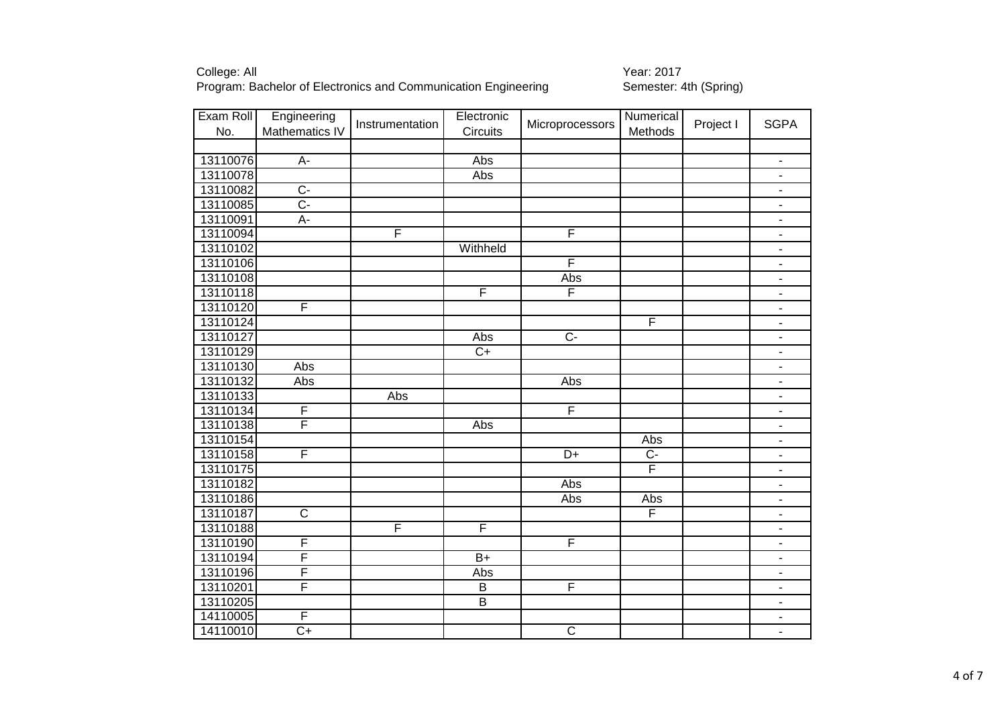| Exam Roll | Engineering           | Instrumentation         | Electronic              | Microprocessors         | Numerical      | Project I | <b>SGPA</b>              |
|-----------|-----------------------|-------------------------|-------------------------|-------------------------|----------------|-----------|--------------------------|
| No.       | Mathematics IV        |                         | <b>Circuits</b>         |                         | Methods        |           |                          |
| 13110076  | $A -$                 |                         | Abs                     |                         |                |           | $\blacksquare$           |
| 13110078  |                       |                         | Abs                     |                         |                |           |                          |
| 13110082  | $\overline{C}$        |                         |                         |                         |                |           |                          |
| 13110085  | $\overline{C}$        |                         |                         |                         |                |           | $\overline{\phantom{a}}$ |
| 13110091  | $\overline{A}$        |                         |                         |                         |                |           | $\blacksquare$           |
| 13110094  |                       | $\overline{\mathsf{F}}$ |                         | $\overline{\mathsf{F}}$ |                |           |                          |
| 13110102  |                       |                         | Withheld                |                         |                |           | $\blacksquare$           |
| 13110106  |                       |                         |                         | F                       |                |           | $\overline{\phantom{a}}$ |
| 13110108  |                       |                         |                         | Abs                     |                |           | $\overline{\phantom{a}}$ |
| 13110118  |                       |                         | $\overline{\mathsf{F}}$ | $\overline{\mathsf{F}}$ |                |           | $\overline{\phantom{a}}$ |
| 13110120  | F                     |                         |                         |                         |                |           | $\overline{\phantom{a}}$ |
| 13110124  |                       |                         |                         |                         | F              |           | $\overline{\phantom{a}}$ |
| 13110127  |                       |                         | Abs                     | $\overline{C}$          |                |           | $\overline{\phantom{a}}$ |
| 13110129  |                       |                         | $\overline{C}$          |                         |                |           | $\blacksquare$           |
| 13110130  | Abs                   |                         |                         |                         |                |           | $\overline{\phantom{a}}$ |
| 13110132  | Abs                   |                         |                         | Abs                     |                |           | $\blacksquare$           |
| 13110133  |                       | Abs                     |                         |                         |                |           | $\overline{\phantom{a}}$ |
| 13110134  | F                     |                         |                         | F                       |                |           | $\overline{\phantom{a}}$ |
| 13110138  | F                     |                         | Abs                     |                         |                |           | $\overline{\phantom{0}}$ |
| 13110154  |                       |                         |                         |                         | Abs            |           | $\overline{\phantom{a}}$ |
| 13110158  | F                     |                         |                         | D+                      | $\overline{C}$ |           |                          |
| 13110175  |                       |                         |                         |                         | F              |           |                          |
| 13110182  |                       |                         |                         | Abs                     |                |           | $\overline{\phantom{0}}$ |
| 13110186  |                       |                         |                         | Abs                     | Abs            |           | $\overline{\phantom{0}}$ |
| 13110187  | $\overline{\text{c}}$ |                         |                         |                         | F              |           | $\overline{\phantom{0}}$ |
| 13110188  |                       | F                       | F                       |                         |                |           | $\overline{\phantom{a}}$ |
| 13110190  | F                     |                         |                         | $\overline{F}$          |                |           | $\overline{\phantom{a}}$ |
| 13110194  | F                     |                         | $\overline{B+}$         |                         |                |           | ÷                        |
| 13110196  | F                     |                         | Abs                     |                         |                |           | ۰                        |
| 13110201  | F                     |                         | $\overline{B}$          | F                       |                |           | $\overline{\phantom{a}}$ |
| 13110205  |                       |                         | $\overline{B}$          |                         |                |           | $\overline{\phantom{a}}$ |
| 14110005  | $\overline{F}$        |                         |                         |                         |                |           |                          |
| 14110010  | $C+$                  |                         |                         | $\overline{C}$          |                |           | $\overline{\phantom{a}}$ |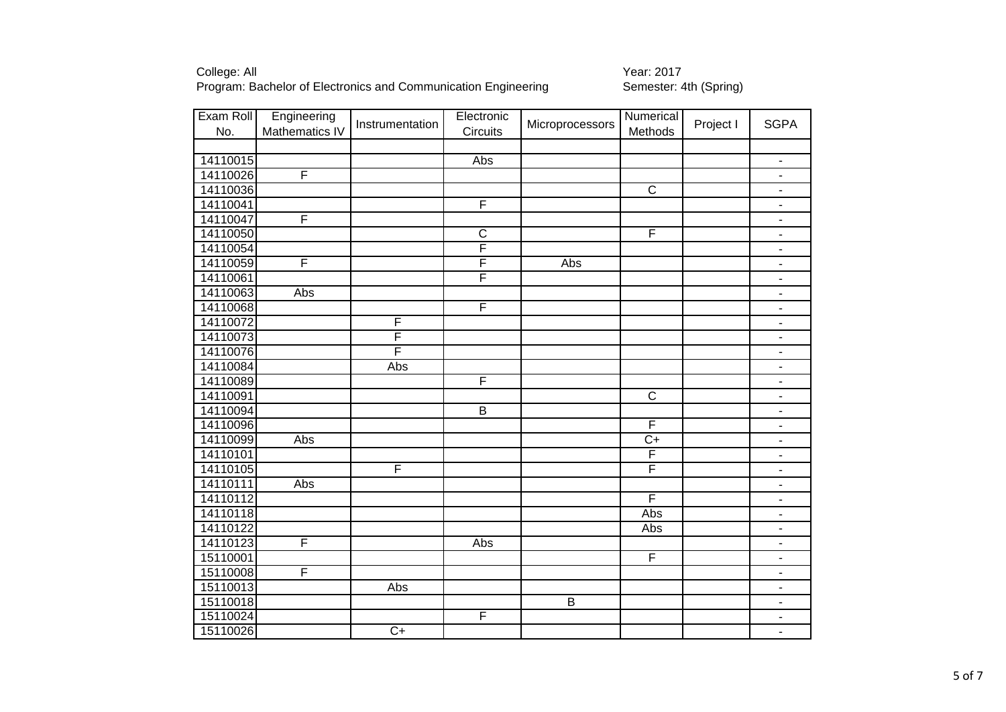| Exam Roll | Engineering    | Instrumentation         | Electronic              | Microprocessors | Numerical      | Project I | <b>SGPA</b>              |
|-----------|----------------|-------------------------|-------------------------|-----------------|----------------|-----------|--------------------------|
| No.       | Mathematics IV |                         | Circuits                |                 | Methods        |           |                          |
|           |                |                         |                         |                 |                |           |                          |
| 14110015  |                |                         | <b>Abs</b>              |                 |                |           | $\blacksquare$           |
| 14110026  | F              |                         |                         |                 |                |           | $\overline{\phantom{a}}$ |
| 14110036  |                |                         |                         |                 | $\overline{C}$ |           | $\blacksquare$           |
| 14110041  |                |                         | F                       |                 |                |           | $\overline{\phantom{a}}$ |
| 14110047  | F              |                         |                         |                 |                |           | $\blacksquare$           |
| 14110050  |                |                         | $\overline{\text{c}}$   |                 | F              |           | $\blacksquare$           |
| 14110054  |                |                         | $\overline{\mathsf{F}}$ |                 |                |           | $\blacksquare$           |
| 14110059  | F              |                         | F                       | Abs             |                |           | ۰                        |
| 14110061  |                |                         | F                       |                 |                |           | $\blacksquare$           |
| 14110063  | Abs            |                         |                         |                 |                |           | $\overline{\phantom{a}}$ |
| 14110068  |                |                         | F                       |                 |                |           | $\overline{\phantom{a}}$ |
| 14110072  |                | $\overline{F}$          |                         |                 |                |           | $\overline{\phantom{a}}$ |
| 14110073  |                | $\overline{\mathsf{F}}$ |                         |                 |                |           | $\overline{\phantom{a}}$ |
| 14110076  |                | F                       |                         |                 |                |           | $\blacksquare$           |
| 14110084  |                | Abs                     |                         |                 |                |           | ۰                        |
| 14110089  |                |                         | F                       |                 |                |           | $\overline{\phantom{a}}$ |
| 14110091  |                |                         |                         |                 | $\overline{C}$ |           | $\overline{\phantom{a}}$ |
| 14110094  |                |                         | $\overline{B}$          |                 |                |           | $\overline{\phantom{a}}$ |
| 14110096  |                |                         |                         |                 | F              |           | $\overline{\phantom{a}}$ |
| 14110099  | Abs            |                         |                         |                 | $\overline{C}$ |           | $\overline{\phantom{a}}$ |
| 14110101  |                |                         |                         |                 | F              |           | $\overline{\phantom{a}}$ |
| 14110105  |                | F                       |                         |                 | F              |           | $\overline{\phantom{a}}$ |
| 14110111  | Abs            |                         |                         |                 |                |           | $\overline{\phantom{a}}$ |
| 14110112  |                |                         |                         |                 | F              |           | $\overline{\phantom{0}}$ |
| 14110118  |                |                         |                         |                 | Abs            |           | $\overline{\phantom{0}}$ |
| 14110122  |                |                         |                         |                 | Abs            |           | $\overline{\phantom{a}}$ |
| 14110123  | F              |                         | Abs                     |                 |                |           | $\blacksquare$           |
| 15110001  |                |                         |                         |                 | F              |           | $\blacksquare$           |
| 15110008  | F              |                         |                         |                 |                |           | ۰                        |
| 15110013  |                | Abs                     |                         |                 |                |           | $\blacksquare$           |
| 15110018  |                |                         |                         | $\overline{B}$  |                |           | $\overline{\phantom{a}}$ |
| 15110024  |                |                         | F                       |                 |                |           | $\blacksquare$           |
| 15110026  |                | $C+$                    |                         |                 |                |           | $\blacksquare$           |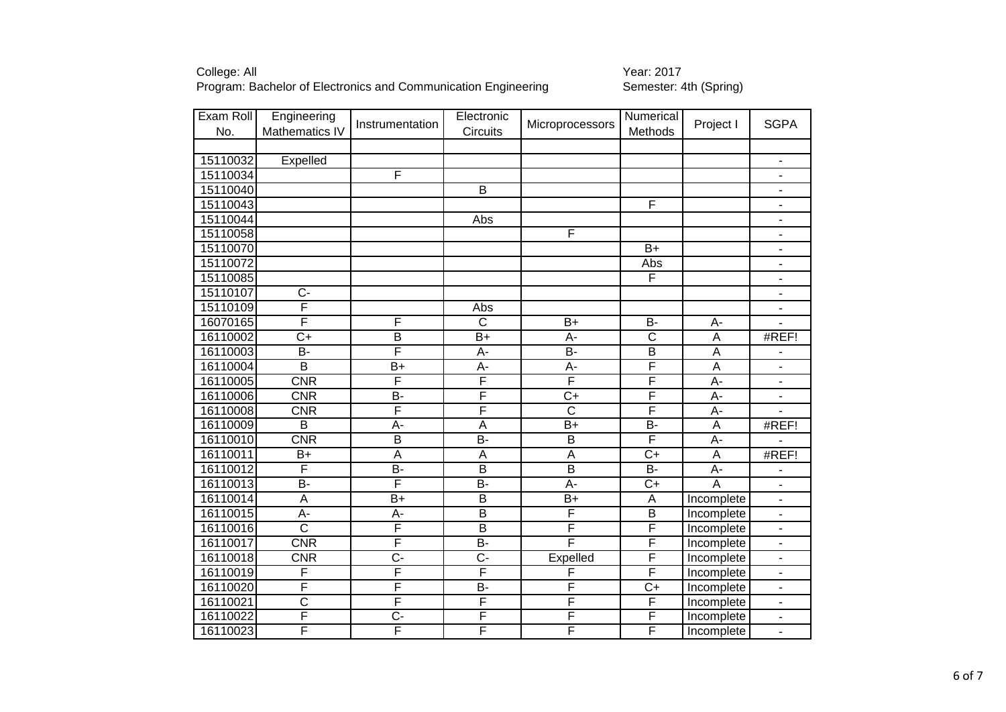| Exam Roll | Engineering             | Instrumentation         | Electronic              |                         | Numerical               |                  | <b>SGPA</b>              |
|-----------|-------------------------|-------------------------|-------------------------|-------------------------|-------------------------|------------------|--------------------------|
| No.       | Mathematics IV          |                         | Circuits                | Microprocessors         | Methods                 | Project I        |                          |
|           |                         |                         |                         |                         |                         |                  |                          |
| 15110032  | Expelled                |                         |                         |                         |                         |                  | $\overline{\phantom{a}}$ |
| 15110034  |                         | F                       |                         |                         |                         |                  | $\overline{\phantom{a}}$ |
| 15110040  |                         |                         | $\overline{B}$          |                         |                         |                  | $\overline{\phantom{a}}$ |
| 15110043  |                         |                         |                         |                         | F                       |                  |                          |
| 15110044  |                         |                         | Abs                     |                         |                         |                  |                          |
| 15110058  |                         |                         |                         | F                       |                         |                  | $\blacksquare$           |
| 15110070  |                         |                         |                         |                         | $\overline{B}$          |                  |                          |
| 15110072  |                         |                         |                         |                         | Abs                     |                  | $\blacksquare$           |
| 15110085  |                         |                         |                         |                         | F                       |                  | $\overline{\phantom{a}}$ |
| 15110107  | $\overline{C}$          |                         |                         |                         |                         |                  | $\blacksquare$           |
| 15110109  | F                       |                         | Abs                     |                         |                         |                  | $\overline{\phantom{a}}$ |
| 16070165  | F                       | $\overline{F}$          | $\overline{C}$          | $B+$                    | B-                      | A-               | $\blacksquare$           |
| 16110002  | $\overline{C+}$         | $\overline{\mathsf{B}}$ | $\overline{B+}$         | $A -$                   | $\overline{\text{c}}$   | A                | #REF!                    |
| 16110003  | $B -$                   | F                       | A-                      | $\overline{B}$ -        | $\overline{\mathsf{B}}$ | A                | $\overline{\phantom{a}}$ |
| 16110004  | $\overline{B}$          | $B+$                    | A-                      | А-                      | F                       | A                | $\blacksquare$           |
| 16110005  | <b>CNR</b>              | F                       | $\overline{\mathsf{F}}$ | F                       | F                       | A-               | $\overline{\phantom{a}}$ |
| 16110006  | CNR                     | <b>B-</b>               | F                       | $\overline{C+}$         | F                       | A-               | $\blacksquare$           |
| 16110008  | CNR                     | F                       | F                       | $\overline{\mathsf{C}}$ | F                       | A-               | ä,                       |
| 16110009  | $\overline{\mathsf{B}}$ | А-                      | $\overline{A}$          | $\overline{B+}$         | $\overline{B}$ -        | $\overline{A}$   | #REF!                    |
| 16110010  | <b>CNR</b>              | B                       | $\overline{B}$          | $\overline{B}$          | F                       | $\overline{A}$ - |                          |
| 16110011  | $B+$                    | $\overline{A}$          | $\overline{A}$          | A                       | $C+$                    | A                | #REF!                    |
| 16110012  | F                       | <b>B-</b>               | $\overline{B}$          | $\overline{\mathsf{B}}$ | $\overline{B}$          | A-               |                          |
| 16110013  | $\overline{B}$          | F                       | B-                      | $A -$                   | $\overline{C+}$         | $\overline{A}$   |                          |
| 16110014  | $\overline{A}$          | $\overline{B+}$         | $\overline{\mathsf{B}}$ | $\overline{B+}$         | $\overline{A}$          | Incomplete       |                          |
| 16110015  | $A -$                   | $\overline{A}$ -        | $\overline{B}$          | F                       | $\overline{B}$          | Incomplete       | $\blacksquare$           |
| 16110016  | $\overline{\mathsf{c}}$ | F                       | $\overline{B}$          | F                       | F                       | Incomplete       | $\blacksquare$           |
| 16110017  | CNR                     | $\overline{\mathsf{F}}$ | $B -$                   | F                       | F                       | Incomplete       | $\blacksquare$           |
| 16110018  | <b>CNR</b>              | $\overline{C}$          | $\overline{C}$          | Expelled                | F                       | Incomplete       | $\blacksquare$           |
| 16110019  | F                       | F                       | F                       | F                       | F                       | Incomplete       | $\overline{\phantom{a}}$ |
| 16110020  | F                       | F                       | $\overline{B}$          | F                       | $\overline{C}$          | Incomplete       | $\blacksquare$           |
| 16110021  | $\overline{\mathsf{C}}$ | F                       | F                       | F                       | F                       | Incomplete       | $\blacksquare$           |
| 16110022  | F                       | $C -$                   | F                       | F                       | F                       | Incomplete       |                          |
| 16110023  | F                       | $\overline{F}$          | F                       | F                       | F                       | Incomplete       |                          |